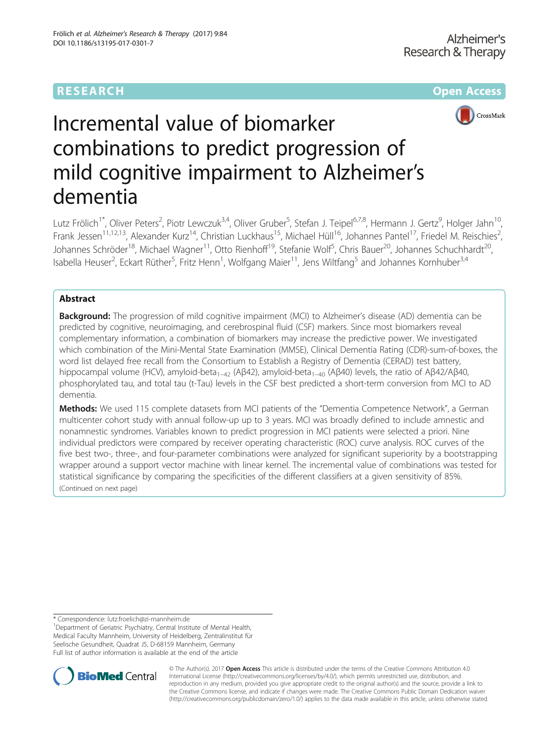# RESEARCH **RESEARCH CONSUMING THE CONSUMING THE CONSUMING THE CONSUMING TEAM Open Access**



# Incremental value of biomarker combinations to predict progression of mild cognitive impairment to Alzheimer's dementia

Lutz Frölich<sup>1\*</sup>, Oliver Peters<sup>2</sup>, Piotr Lewczuk<sup>3,4</sup>, Oliver Gruber<sup>5</sup>, Stefan J. Teipel<sup>6,7,8</sup>, Hermann J. Gertz<sup>9</sup>, Holger Jahn<sup>10</sup>, Frank Jessen<sup>11,12,13</sup>, Alexander Kurz<sup>14</sup>, Christian Luckhaus<sup>15</sup>, Michael Hüll<sup>16</sup>, Johannes Pantel<sup>17</sup>, Friedel M. Reischies<sup>2</sup>, , Johannes Schröder<sup>18</sup>, Michael Wagner<sup>11</sup>, Otto Rienhoff<sup>19</sup>, Stefanie Wolf<sup>5</sup>, Chris Bauer<sup>20</sup>, Johannes Schuchhardt<sup>20</sup>, Isabella Heuser<sup>2</sup>, Eckart Rüther<sup>5</sup>, Fritz Henn<sup>1</sup>, Wolfgang Maier<sup>11</sup>, Jens Wiltfang<sup>5</sup> and Johannes Kornhuber<sup>3,4</sup>

# Abstract

**Background:** The progression of mild cognitive impairment (MCI) to Alzheimer's disease (AD) dementia can be predicted by cognitive, neuroimaging, and cerebrospinal fluid (CSF) markers. Since most biomarkers reveal complementary information, a combination of biomarkers may increase the predictive power. We investigated which combination of the Mini-Mental State Examination (MMSE), Clinical Dementia Rating (CDR)-sum-of-boxes, the word list delayed free recall from the Consortium to Establish a Registry of Dementia (CERAD) test battery, hippocampal volume (HCV), amyloid-beta<sub>1–42</sub> (Aβ42), amyloid-beta<sub>1–40</sub> (Aβ40) levels, the ratio of Aβ42/Aβ40, phosphorylated tau, and total tau (t-Tau) levels in the CSF best predicted a short-term conversion from MCI to AD dementia.

Methods: We used 115 complete datasets from MCI patients of the "Dementia Competence Network", a German multicenter cohort study with annual follow-up up to 3 years. MCI was broadly defined to include amnestic and nonamnestic syndromes. Variables known to predict progression in MCI patients were selected a priori. Nine individual predictors were compared by receiver operating characteristic (ROC) curve analysis. ROC curves of the five best two-, three-, and four-parameter combinations were analyzed for significant superiority by a bootstrapping wrapper around a support vector machine with linear kernel. The incremental value of combinations was tested for statistical significance by comparing the specificities of the different classifiers at a given sensitivity of 85%. (Continued on next page)

\* Correspondence: [lutz.froelich@zi-mannheim.de](mailto:lutz.froelich@zi-mannheim.de) <sup>1</sup>

<sup>1</sup>Department of Geriatric Psychiatry, Central Institute of Mental Health, Medical Faculty Mannheim, University of Heidelberg, Zentralinstitut für Seelische Gesundheit, Quadrat J5, D-68159 Mannheim, Germany Full list of author information is available at the end of the article



© The Author(s). 2017 **Open Access** This article is distributed under the terms of the Creative Commons Attribution 4.0 International License [\(http://creativecommons.org/licenses/by/4.0/](http://creativecommons.org/licenses/by/4.0/)), which permits unrestricted use, distribution, and reproduction in any medium, provided you give appropriate credit to the original author(s) and the source, provide a link to the Creative Commons license, and indicate if changes were made. The Creative Commons Public Domain Dedication waiver [\(http://creativecommons.org/publicdomain/zero/1.0/](http://creativecommons.org/publicdomain/zero/1.0/)) applies to the data made available in this article, unless otherwise stated.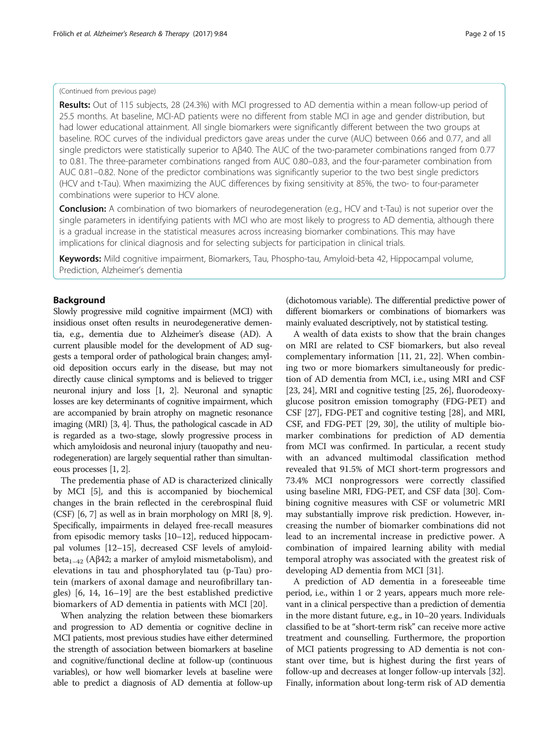## (Continued from previous page)

**Results:** Out of 115 subjects, 28 (24.3%) with MCI progressed to AD dementia within a mean follow-up period of 25.5 months. At baseline, MCI-AD patients were no different from stable MCI in age and gender distribution, but had lower educational attainment. All single biomarkers were significantly different between the two groups at baseline. ROC curves of the individual predictors gave areas under the curve (AUC) between 0.66 and 0.77, and all single predictors were statistically superior to Aβ40. The AUC of the two-parameter combinations ranged from 0.77 to 0.81. The three-parameter combinations ranged from AUC 0.80–0.83, and the four-parameter combination from AUC 0.81–0.82. None of the predictor combinations was significantly superior to the two best single predictors (HCV and t-Tau). When maximizing the AUC differences by fixing sensitivity at 85%, the two- to four-parameter combinations were superior to HCV alone.

**Conclusion:** A combination of two biomarkers of neurodegeneration (e.g., HCV and t-Tau) is not superior over the single parameters in identifying patients with MCI who are most likely to progress to AD dementia, although there is a gradual increase in the statistical measures across increasing biomarker combinations. This may have implications for clinical diagnosis and for selecting subjects for participation in clinical trials.

Keywords: Mild cognitive impairment, Biomarkers, Tau, Phospho-tau, Amyloid-beta 42, Hippocampal volume, Prediction, Alzheimer's dementia

## Background

Slowly progressive mild cognitive impairment (MCI) with insidious onset often results in neurodegenerative dementia, e.g., dementia due to Alzheimer's disease (AD). A current plausible model for the development of AD suggests a temporal order of pathological brain changes; amyloid deposition occurs early in the disease, but may not directly cause clinical symptoms and is believed to trigger neuronal injury and loss [\[1](#page-13-0), [2](#page-13-0)]. Neuronal and synaptic losses are key determinants of cognitive impairment, which are accompanied by brain atrophy on magnetic resonance imaging (MRI) [[3](#page-13-0), [4\]](#page-13-0). Thus, the pathological cascade in AD is regarded as a two-stage, slowly progressive process in which amyloidosis and neuronal injury (tauopathy and neurodegeneration) are largely sequential rather than simultaneous processes [[1](#page-13-0), [2\]](#page-13-0).

The predementia phase of AD is characterized clinically by MCI [[5](#page-13-0)], and this is accompanied by biochemical changes in the brain reflected in the cerebrospinal fluid (CSF) [\[6](#page-13-0), [7](#page-13-0)] as well as in brain morphology on MRI [[8](#page-13-0), [9](#page-13-0)]. Specifically, impairments in delayed free-recall measures from episodic memory tasks [\[10](#page-13-0)–[12](#page-13-0)], reduced hippocampal volumes [[12](#page-13-0)–[15\]](#page-13-0), decreased CSF levels of amyloidbeta<sub>1–42</sub> (A $\beta$ 42; a marker of amyloid mismetabolism), and elevations in tau and phosphorylated tau (p-Tau) protein (markers of axonal damage and neurofibrillary tangles) [\[6](#page-13-0), [14, 16](#page-13-0)–[19](#page-13-0)] are the best established predictive biomarkers of AD dementia in patients with MCI [[20\]](#page-13-0).

When analyzing the relation between these biomarkers and progression to AD dementia or cognitive decline in MCI patients, most previous studies have either determined the strength of association between biomarkers at baseline and cognitive/functional decline at follow-up (continuous variables), or how well biomarker levels at baseline were able to predict a diagnosis of AD dementia at follow-up (dichotomous variable). The differential predictive power of different biomarkers or combinations of biomarkers was mainly evaluated descriptively, not by statistical testing.

A wealth of data exists to show that the brain changes on MRI are related to CSF biomarkers, but also reveal complementary information [[11](#page-13-0), [21, 22](#page-13-0)]. When combining two or more biomarkers simultaneously for prediction of AD dementia from MCI, i.e., using MRI and CSF [[23, 24\]](#page-13-0), MRI and cognitive testing [\[25](#page-13-0), [26](#page-13-0)], fluorodeoxyglucose positron emission tomography (FDG-PET) and CSF [[27\]](#page-13-0), FDG-PET and cognitive testing [\[28](#page-13-0)], and MRI, CSF, and FDG-PET [\[29](#page-13-0), [30\]](#page-13-0), the utility of multiple biomarker combinations for prediction of AD dementia from MCI was confirmed. In particular, a recent study with an advanced multimodal classification method revealed that 91.5% of MCI short-term progressors and 73.4% MCI nonprogressors were correctly classified using baseline MRI, FDG-PET, and CSF data [[30](#page-13-0)]. Combining cognitive measures with CSF or volumetric MRI may substantially improve risk prediction. However, increasing the number of biomarker combinations did not lead to an incremental increase in predictive power. A combination of impaired learning ability with medial temporal atrophy was associated with the greatest risk of developing AD dementia from MCI [\[31](#page-13-0)].

A prediction of AD dementia in a foreseeable time period, i.e., within 1 or 2 years, appears much more relevant in a clinical perspective than a prediction of dementia in the more distant future, e.g., in 10–20 years. Individuals classified to be at "short-term risk" can receive more active treatment and counselling. Furthermore, the proportion of MCI patients progressing to AD dementia is not constant over time, but is highest during the first years of follow-up and decreases at longer follow-up intervals [[32](#page-13-0)]. Finally, information about long-term risk of AD dementia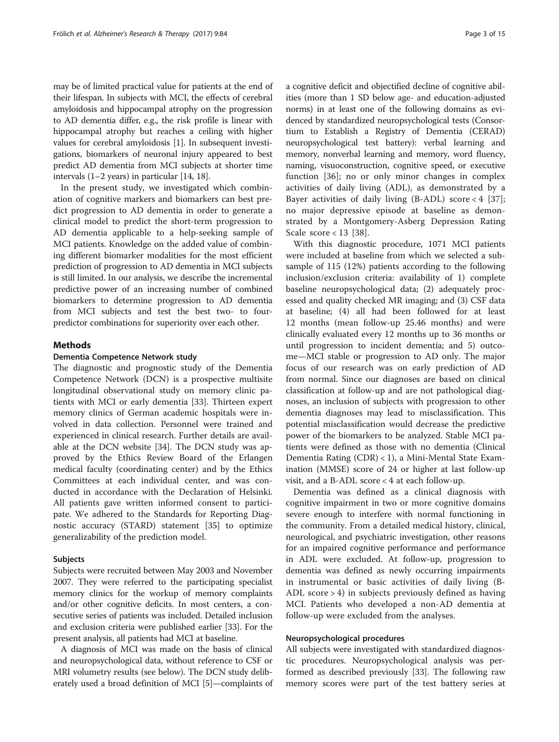may be of limited practical value for patients at the end of their lifespan. In subjects with MCI, the effects of cerebral amyloidosis and hippocampal atrophy on the progression to AD dementia differ, e.g., the risk profile is linear with hippocampal atrophy but reaches a ceiling with higher values for cerebral amyloidosis [[1](#page-13-0)]. In subsequent investigations, biomarkers of neuronal injury appeared to best predict AD dementia from MCI subjects at shorter time intervals (1–2 years) in particular [\[14, 18](#page-13-0)].

In the present study, we investigated which combination of cognitive markers and biomarkers can best predict progression to AD dementia in order to generate a clinical model to predict the short-term progression to AD dementia applicable to a help-seeking sample of MCI patients. Knowledge on the added value of combining different biomarker modalities for the most efficient prediction of progression to AD dementia in MCI subjects is still limited. In our analysis, we describe the incremental predictive power of an increasing number of combined biomarkers to determine progression to AD dementia from MCI subjects and test the best two- to fourpredictor combinations for superiority over each other.

# Methods

## Dementia Competence Network study

The diagnostic and prognostic study of the Dementia Competence Network (DCN) is a prospective multisite longitudinal observational study on memory clinic patients with MCI or early dementia [\[33\]](#page-13-0). Thirteen expert memory clinics of German academic hospitals were involved in data collection. Personnel were trained and experienced in clinical research. Further details are available at the DCN website [\[34\]](#page-13-0). The DCN study was approved by the Ethics Review Board of the Erlangen medical faculty (coordinating center) and by the Ethics Committees at each individual center, and was conducted in accordance with the Declaration of Helsinki. All patients gave written informed consent to participate. We adhered to the Standards for Reporting Diagnostic accuracy (STARD) statement [[35](#page-13-0)] to optimize generalizability of the prediction model.

## Subjects

Subjects were recruited between May 2003 and November 2007. They were referred to the participating specialist memory clinics for the workup of memory complaints and/or other cognitive deficits. In most centers, a consecutive series of patients was included. Detailed inclusion and exclusion criteria were published earlier [[33](#page-13-0)]. For the present analysis, all patients had MCI at baseline.

A diagnosis of MCI was made on the basis of clinical and neuropsychological data, without reference to CSF or MRI volumetry results (see below). The DCN study deliberately used a broad definition of MCI [[5\]](#page-13-0)—complaints of a cognitive deficit and objectified decline of cognitive abilities (more than 1 SD below age- and education-adjusted norms) in at least one of the following domains as evidenced by standardized neuropsychological tests (Consortium to Establish a Registry of Dementia (CERAD) neuropsychological test battery): verbal learning and memory, nonverbal learning and memory, word fluency, naming, visuoconstruction, cognitive speed, or executive function [[36](#page-13-0)]; no or only minor changes in complex activities of daily living (ADL), as demonstrated by a Bayer activities of daily living (B-ADL) score < 4 [\[37](#page-13-0)]; no major depressive episode at baseline as demonstrated by a Montgomery-Asberg Depression Rating Scale score < 13 [\[38](#page-13-0)].

With this diagnostic procedure, 1071 MCI patients were included at baseline from which we selected a subsample of 115 (12%) patients according to the following inclusion/exclusion criteria: availability of 1) complete baseline neuropsychological data; (2) adequately processed and quality checked MR imaging; and (3) CSF data at baseline; (4) all had been followed for at least 12 months (mean follow-up 25.46 months) and were clinically evaluated every 12 months up to 36 months or until progression to incident dementia; and 5) outcome—MCI stable or progression to AD only. The major focus of our research was on early prediction of AD from normal. Since our diagnoses are based on clinical classification at follow-up and are not pathological diagnoses, an inclusion of subjects with progression to other dementia diagnoses may lead to misclassification. This potential misclassification would decrease the predictive power of the biomarkers to be analyzed. Stable MCI patients were defined as those with no dementia (Clinical Dementia Rating (CDR) < 1), a Mini-Mental State Examination (MMSE) score of 24 or higher at last follow-up visit, and a B-ADL score < 4 at each follow-up.

Dementia was defined as a clinical diagnosis with cognitive impairment in two or more cognitive domains severe enough to interfere with normal functioning in the community. From a detailed medical history, clinical, neurological, and psychiatric investigation, other reasons for an impaired cognitive performance and performance in ADL were excluded. At follow-up, progression to dementia was defined as newly occurring impairments in instrumental or basic activities of daily living (B-ADL score > 4) in subjects previously defined as having MCI. Patients who developed a non-AD dementia at follow-up were excluded from the analyses.

# Neuropsychological procedures

All subjects were investigated with standardized diagnostic procedures. Neuropsychological analysis was performed as described previously [\[33](#page-13-0)]. The following raw memory scores were part of the test battery series at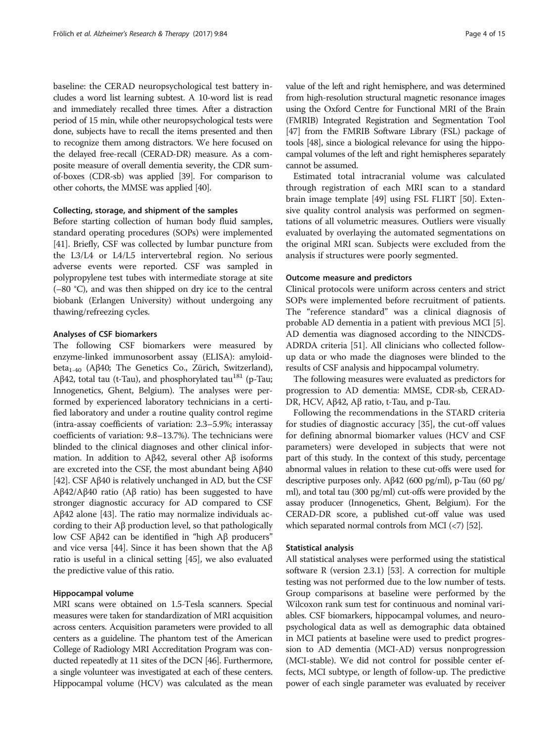baseline: the CERAD neuropsychological test battery includes a word list learning subtest. A 10-word list is read and immediately recalled three times. After a distraction period of 15 min, while other neuropsychological tests were done, subjects have to recall the items presented and then to recognize them among distractors. We here focused on the delayed free-recall (CERAD-DR) measure. As a composite measure of overall dementia severity, the CDR sumof-boxes (CDR-sb) was applied [\[39\]](#page-13-0). For comparison to other cohorts, the MMSE was applied [\[40](#page-13-0)].

#### Collecting, storage, and shipment of the samples

Before starting collection of human body fluid samples, standard operating procedures (SOPs) were implemented [[41](#page-13-0)]. Briefly, CSF was collected by lumbar puncture from the L3/L4 or L4/L5 intervertebral region. No serious adverse events were reported. CSF was sampled in polypropylene test tubes with intermediate storage at site (–80 °C), and was then shipped on dry ice to the central biobank (Erlangen University) without undergoing any thawing/refreezing cycles.

#### Analyses of CSF biomarkers

The following CSF biomarkers were measured by enzyme-linked immunosorbent assay (ELISA): amyloidbeta<sub>1-40</sub> (A $\beta$ 40; The Genetics Co., Zürich, Switzerland), Aβ42, total tau (t-Tau), and phosphorylated tau<sup>181</sup> (p-Tau; Innogenetics, Ghent, Belgium). The analyses were performed by experienced laboratory technicians in a certified laboratory and under a routine quality control regime (intra-assay coefficients of variation: 2.3–5.9%; interassay coefficients of variation: 9.8–13.7%). The technicians were blinded to the clinical diagnoses and other clinical information. In addition to Aβ42, several other Aβ isoforms are excreted into the CSF, the most abundant being Aβ40 [[42](#page-13-0)]. CSF Aβ40 is relatively unchanged in AD, but the CSF Aβ42/Aβ40 ratio (Aβ ratio) has been suggested to have stronger diagnostic accuracy for AD compared to CSF Aβ42 alone [\[43](#page-13-0)]. The ratio may normalize individuals according to their Aβ production level, so that pathologically low CSF Aβ42 can be identified in "high Aβ producers" and vice versa [\[44\]](#page-14-0). Since it has been shown that the  $A\beta$ ratio is useful in a clinical setting [[45](#page-14-0)], we also evaluated the predictive value of this ratio.

#### Hippocampal volume

MRI scans were obtained on 1.5-Tesla scanners. Special measures were taken for standardization of MRI acquisition across centers. Acquisition parameters were provided to all centers as a guideline. The phantom test of the American College of Radiology MRI Accreditation Program was conducted repeatedly at 11 sites of the DCN [\[46\]](#page-14-0). Furthermore, a single volunteer was investigated at each of these centers. Hippocampal volume (HCV) was calculated as the mean value of the left and right hemisphere, and was determined from high-resolution structural magnetic resonance images using the Oxford Centre for Functional MRI of the Brain (FMRIB) Integrated Registration and Segmentation Tool [[47](#page-14-0)] from the FMRIB Software Library (FSL) package of tools [[48](#page-14-0)], since a biological relevance for using the hippocampal volumes of the left and right hemispheres separately cannot be assumed.

Estimated total intracranial volume was calculated through registration of each MRI scan to a standard brain image template [\[49\]](#page-14-0) using FSL FLIRT [\[50\]](#page-14-0). Extensive quality control analysis was performed on segmentations of all volumetric measures. Outliers were visually evaluated by overlaying the automated segmentations on the original MRI scan. Subjects were excluded from the analysis if structures were poorly segmented.

## Outcome measure and predictors

Clinical protocols were uniform across centers and strict SOPs were implemented before recruitment of patients. The "reference standard" was a clinical diagnosis of probable AD dementia in a patient with previous MCI [[5](#page-13-0)]. AD dementia was diagnosed according to the NINCDS-ADRDA criteria [[51](#page-14-0)]. All clinicians who collected followup data or who made the diagnoses were blinded to the results of CSF analysis and hippocampal volumetry.

The following measures were evaluated as predictors for progression to AD dementia: MMSE, CDR-sb, CERAD-DR, HCV, Aβ42, Aβ ratio, t-Tau, and p-Tau.

Following the recommendations in the STARD criteria for studies of diagnostic accuracy [\[35](#page-13-0)], the cut-off values for defining abnormal biomarker values (HCV and CSF parameters) were developed in subjects that were not part of this study. In the context of this study, percentage abnormal values in relation to these cut-offs were used for descriptive purposes only. Aβ42 (600 pg/ml), p-Tau (60 pg/ ml), and total tau (300 pg/ml) cut-offs were provided by the assay producer (Innogenetics, Ghent, Belgium). For the CERAD-DR score, a published cut-off value was used which separated normal controls from MCI  $(\langle 7 \rangle)$  [\[52](#page-14-0)].

#### Statistical analysis

All statistical analyses were performed using the statistical software R (version 2.3.1) [\[53\]](#page-14-0). A correction for multiple testing was not performed due to the low number of tests. Group comparisons at baseline were performed by the Wilcoxon rank sum test for continuous and nominal variables. CSF biomarkers, hippocampal volumes, and neuropsychological data as well as demographic data obtained in MCI patients at baseline were used to predict progression to AD dementia (MCI-AD) versus nonprogression (MCI-stable). We did not control for possible center effects, MCI subtype, or length of follow-up. The predictive power of each single parameter was evaluated by receiver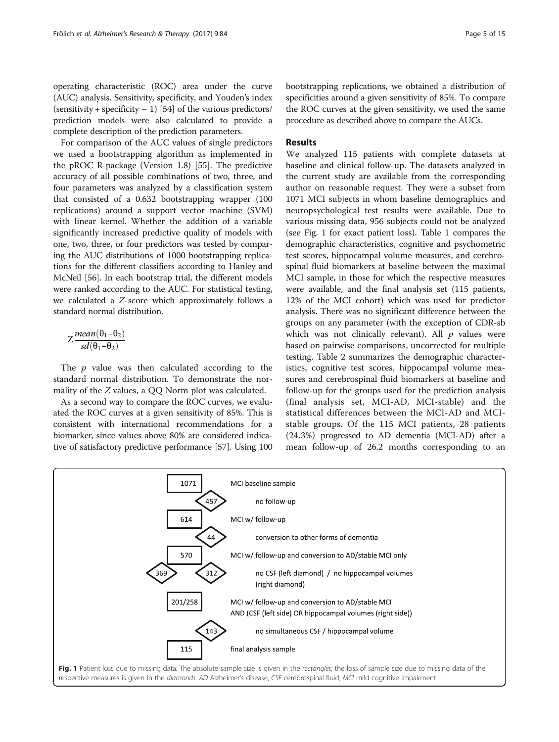operating characteristic (ROC) area under the curve (AUC) analysis. Sensitivity, specificity, and Youden's index (sensitivity + specificity  $-1$ ) [\[54](#page-14-0)] of the various predictors/ prediction models were also calculated to provide a complete description of the prediction parameters.

For comparison of the AUC values of single predictors we used a bootstrapping algorithm as implemented in the pROC R-package (Version 1.8) [[55\]](#page-14-0). The predictive accuracy of all possible combinations of two, three, and four parameters was analyzed by a classification system that consisted of a 0.632 bootstrapping wrapper (100 replications) around a support vector machine (SVM) with linear kernel. Whether the addition of a variable significantly increased predictive quality of models with one, two, three, or four predictors was tested by comparing the AUC distributions of 1000 bootstrapping replications for the different classifiers according to Hanley and McNeil [\[56\]](#page-14-0). In each bootstrap trial, the different models were ranked according to the AUC. For statistical testing, we calculated a Z-score which approximately follows a standard normal distribution.

$$
Z \frac{mean(\theta_1 - \theta_2)}{sd(\theta_1 - \theta_2)}
$$

The  $p$  value was then calculated according to the standard normal distribution. To demonstrate the normality of the Z values, a QQ Norm plot was calculated.

As a second way to compare the ROC curves, we evaluated the ROC curves at a given sensitivity of 85%. This is consistent with international recommendations for a biomarker, since values above 80% are considered indicative of satisfactory predictive performance [\[57\]](#page-14-0). Using 100 bootstrapping replications, we obtained a distribution of specificities around a given sensitivity of 85%. To compare the ROC curves at the given sensitivity, we used the same procedure as described above to compare the AUCs.

# Results

We analyzed 115 patients with complete datasets at baseline and clinical follow-up. The datasets analyzed in the current study are available from the corresponding author on reasonable request. They were a subset from 1071 MCI subjects in whom baseline demographics and neuropsychological test results were available. Due to various missing data, 956 subjects could not be analyzed (see Fig. 1 for exact patient loss). Table [1](#page-5-0) compares the demographic characteristics, cognitive and psychometric test scores, hippocampal volume measures, and cerebrospinal fluid biomarkers at baseline between the maximal MCI sample, in those for which the respective measures were available, and the final analysis set (115 patients, 12% of the MCI cohort) which was used for predictor analysis. There was no significant difference between the groups on any parameter (with the exception of CDR-sb which was not clinically relevant). All  $p$  values were based on pairwise comparisons, uncorrected for multiple testing. Table [2](#page-6-0) summarizes the demographic characteristics, cognitive test scores, hippocampal volume measures and cerebrospinal fluid biomarkers at baseline and follow-up for the groups used for the prediction analysis (final analysis set, MCI-AD, MCI-stable) and the statistical differences between the MCI-AD and MCIstable groups. Of the 115 MCI patients, 28 patients (24.3%) progressed to AD dementia (MCI-AD) after a mean follow-up of 26.2 months corresponding to an

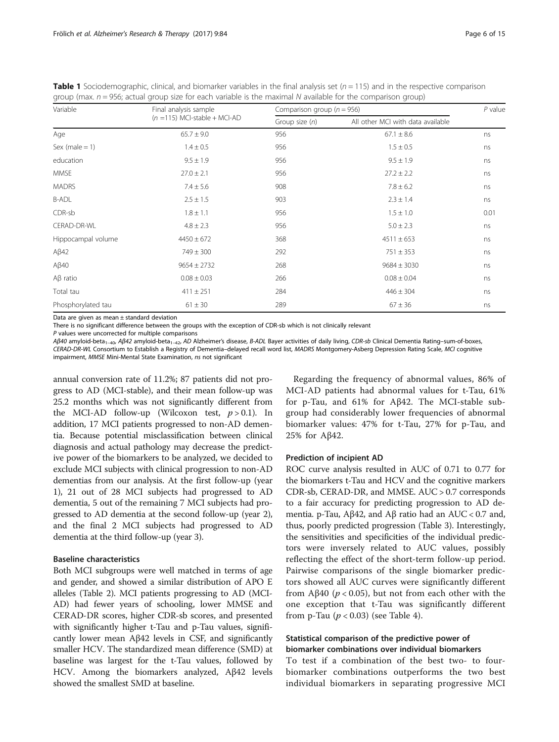<span id="page-5-0"></span>

| <b>Table 1</b> Sociodemographic, clinical, and biomarker variables in the final analysis set ( $n = 115$ ) and in the respective comparison |  |  |  |
|---------------------------------------------------------------------------------------------------------------------------------------------|--|--|--|
| group (max. $n = 956$ ; actual group size for each variable is the maximal N available for the comparison group)                            |  |  |  |

| Variable            | Final analysis sample           | Comparison group ( $n = 956$ ) | $P$ value                         |      |
|---------------------|---------------------------------|--------------------------------|-----------------------------------|------|
|                     | $(n = 115)$ MCI-stable + MCI-AD | Group size $(n)$               | All other MCI with data available |      |
| Age                 | $65.7 \pm 9.0$                  | 956                            | $67.1 \pm 8.6$                    | ns   |
| Sex (male = $1$ )   | $1.4 \pm 0.5$                   | 956                            | $1.5 \pm 0.5$                     | ns   |
| education           | $9.5 \pm 1.9$                   | 956                            | $9.5 \pm 1.9$                     | ns   |
| <b>MMSE</b>         | $27.0 \pm 2.1$                  | 956                            | $27.2 \pm 2.2$                    | ns   |
| <b>MADRS</b>        | $7.4 \pm 5.6$                   | 908                            | $7.8 \pm 6.2$                     | ns   |
| <b>B-ADL</b>        | $2.5 \pm 1.5$                   | 903                            | $2.3 \pm 1.4$                     | ns   |
| CDR-sb              | $1.8 \pm 1.1$                   | 956                            | $1.5 \pm 1.0$                     | 0.01 |
| CERAD-DR-WL         | $4.8 \pm 2.3$                   | 956                            | $5.0 \pm 2.3$                     | ns   |
| Hippocampal volume  | $4450 \pm 672$                  | 368                            | $4511 \pm 653$                    | ns   |
| $A\beta42$          | $749 \pm 300$                   | 292                            | $751 \pm 353$                     | ns   |
| $A\beta40$          | $9654 \pm 2732$                 | 268                            | $9684 \pm 3030$                   | ns   |
| $\mathsf{AB}$ ratio | $0.08 \pm 0.03$                 | 266                            | $0.08 \pm 0.04$                   | ns   |
| Total tau           | $411 \pm 251$                   | 284                            | $446 \pm 304$                     | ns   |
| Phosphorylated tau  | $61 \pm 30$                     | 289                            | $67 \pm 36$                       | ns   |

Data are given as mean  $\pm$  standard deviation

There is no significant difference between the groups with the exception of CDR-sb which is not clinically relevant

P values were uncorrected for multiple comparisons

Aβ40 amyloid-beta<sub>1–40</sub>, Aβ42 amyloid-beta<sub>1–42</sub>, AD Alzheimer's disease, B-ADL Bayer activities of daily living, CDR-sb Clinical Dementia Rating–sum-of-boxes, CERAD-DR-WL Consortium to Establish a Registry of Dementia–delayed recall word list, MADRS Montgomery-Asberg Depression Rating Scale, MCI cognitive impairment, MMSE Mini-Mental State Examination, ns not significant

annual conversion rate of 11.2%; 87 patients did not progress to AD (MCI-stable), and their mean follow-up was 25.2 months which was not significantly different from the MCI-AD follow-up (Wilcoxon test,  $p > 0.1$ ). In addition, 17 MCI patients progressed to non-AD dementia. Because potential misclassification between clinical diagnosis and actual pathology may decrease the predictive power of the biomarkers to be analyzed, we decided to exclude MCI subjects with clinical progression to non-AD dementias from our analysis. At the first follow-up (year 1), 21 out of 28 MCI subjects had progressed to AD dementia, 5 out of the remaining 7 MCI subjects had progressed to AD dementia at the second follow-up (year 2), and the final 2 MCI subjects had progressed to AD dementia at the third follow-up (year 3).

# Baseline characteristics

Both MCI subgroups were well matched in terms of age and gender, and showed a similar distribution of APO E alleles (Table [2](#page-6-0)). MCI patients progressing to AD (MCI-AD) had fewer years of schooling, lower MMSE and CERAD-DR scores, higher CDR-sb scores, and presented with significantly higher t-Tau and p-Tau values, significantly lower mean Aβ42 levels in CSF, and significantly smaller HCV. The standardized mean difference (SMD) at baseline was largest for the t-Tau values, followed by HCV. Among the biomarkers analyzed, Aβ42 levels showed the smallest SMD at baseline.

Regarding the frequency of abnormal values, 86% of MCI-AD patients had abnormal values for t-Tau, 61% for p-Tau, and 61% for Aβ42. The MCI-stable subgroup had considerably lower frequencies of abnormal biomarker values: 47% for t-Tau, 27% for p-Tau, and 25% for Aβ42.

#### Prediction of incipient AD

ROC curve analysis resulted in AUC of 0.71 to 0.77 for the biomarkers t-Tau and HCV and the cognitive markers CDR-sb, CERAD-DR, and MMSE. AUC > 0.7 corresponds to a fair accuracy for predicting progression to AD dementia. p-Tau, Aβ42, and Aβ ratio had an AUC < 0.7 and, thus, poorly predicted progression (Table [3](#page-7-0)). Interestingly, the sensitivities and specificities of the individual predictors were inversely related to AUC values, possibly reflecting the effect of the short-term follow-up period. Pairwise comparisons of the single biomarker predictors showed all AUC curves were significantly different from Aβ40 (p < 0.05), but not from each other with the one exception that t-Tau was significantly different from p-Tau  $(p < 0.03)$  (see Table [4](#page-8-0)).

# Statistical comparison of the predictive power of biomarker combinations over individual biomarkers

To test if a combination of the best two- to fourbiomarker combinations outperforms the two best individual biomarkers in separating progressive MCI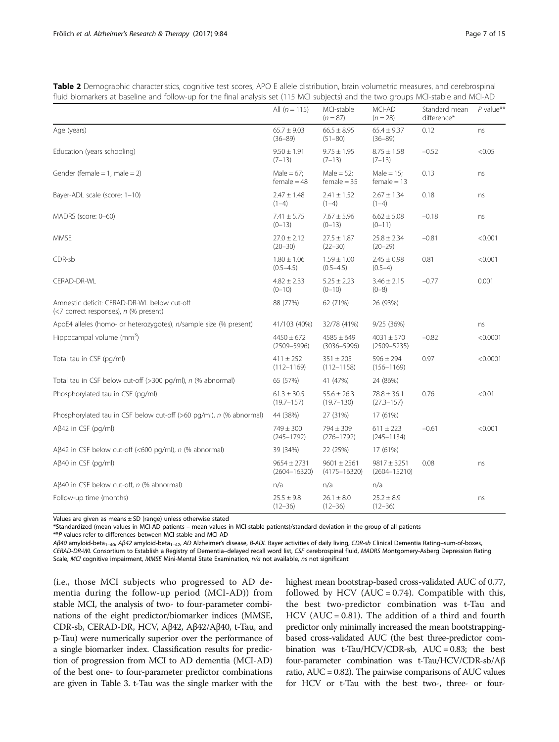<span id="page-6-0"></span>

| Table 2 Demographic characteristics, cognitive test scores, APO E allele distribution, brain volumetric measures, and cerebrospinal |
|-------------------------------------------------------------------------------------------------------------------------------------|
| fluid biomarkers at baseline and follow-up for the final analysis set (115 MCI subjects) and the two groups MCI-stable and MCI-AD   |

|                                                                                      | All $(n = 115)$                     | MCI-stable<br>$(n = 87)$            | MCI-AD<br>$(n = 28)$                | Standard mean<br>difference* | $P$ value** |
|--------------------------------------------------------------------------------------|-------------------------------------|-------------------------------------|-------------------------------------|------------------------------|-------------|
| Age (years)                                                                          | $65.7 \pm 9.03$<br>$(36 - 89)$      | $66.5 \pm 8.95$<br>$(51 - 80)$      | $65.4 \pm 9.37$<br>$(36 - 89)$      | 0.12                         | ns          |
| Education (years schooling)                                                          | $9.50 \pm 1.91$<br>$(7-13)$         | $9.75 \pm 1.95$<br>$(7-13)$         | $8.75 \pm 1.58$<br>$(7-13)$         | $-0.52$                      | < 0.05      |
| Gender (female = $1$ , male = $2$ )                                                  | Male = $67$ ;<br>$female = 48$      | Male = $52$ ;<br>$female = 35$      | Male = $15$ ;<br>$female = 13$      | 0.13                         | ns          |
| Bayer-ADL scale (score: 1-10)                                                        | $2.47 \pm 1.48$<br>$(1-4)$          | $2.41 \pm 1.52$<br>$(1-4)$          | $2.67 \pm 1.34$<br>$(1-4)$          | 0.18                         | ns          |
| MADRS (score: 0-60)                                                                  | $7.41 \pm 5.75$<br>$(0-13)$         | $7.67 \pm 5.96$<br>$(0-13)$         | $6.62 \pm 5.08$<br>$(0-11)$         | $-0.18$                      | ns          |
| <b>MMSE</b>                                                                          | $27.0 \pm 2.12$<br>$(20 - 30)$      | $27.5 \pm 1.87$<br>$(22 - 30)$      | $25.8 \pm 2.34$<br>$(20 - 29)$      | $-0.81$                      | < 0.001     |
| CDR-sb                                                                               | $1.80 \pm 1.06$<br>$(0.5 - 4.5)$    | $1.59 \pm 1.00$<br>$(0.5 - 4.5)$    | $2.45 \pm 0.98$<br>$(0.5-4)$        | 0.81                         | < 0.001     |
| CERAD-DR-WL                                                                          | $4.82 \pm 2.33$<br>$(0 - 10)$       | $5.25 \pm 2.23$<br>$(0 - 10)$       | $3.46 \pm 2.15$<br>$(0-8)$          | $-0.77$                      | 0.001       |
| Amnestic deficit: CERAD-DR-WL below cut-off<br>(<7 correct responses), n (% present) | 88 (77%)                            | 62 (71%)                            | 26 (93%)                            |                              |             |
| ApoE4 alleles (homo- or heterozygotes), n/sample size (% present)                    | 41/103 (40%)                        | 32/78 (41%)                         | 9/25 (36%)                          |                              | ns          |
| Hippocampal volume (mm <sup>3</sup> )                                                | $4450 \pm 672$<br>$(2509 - 5996)$   | $4585 \pm 649$<br>$(3036 - 5996)$   | $4031 \pm 570$<br>$(2509 - 5235)$   | $-0.82$                      | < 0.0001    |
| Total tau in CSF (pg/ml)                                                             | $411 \pm 252$<br>$(112 - 1169)$     | $351 \pm 205$<br>$(112 - 1158)$     | $596 \pm 294$<br>$(156 - 1169)$     | 0.97                         | < 0.0001    |
| Total tau in CSF below cut-off (>300 pg/ml), n (% abnormal)                          | 65 (57%)                            | 41 (47%)                            | 24 (86%)                            |                              |             |
| Phosphorylated tau in CSF (pg/ml)                                                    | $61.3 \pm 30.5$<br>$(19.7 - 157)$   | $55.6 \pm 26.3$<br>$(19.7 - 130)$   | $78.8 \pm 36.1$<br>$(27.3 - 157)$   | 0.76                         | < 0.01      |
| Phosphorylated tau in CSF below cut-off (>60 pg/ml), n (% abnormal)                  | 44 (38%)                            | 27 (31%)                            | 17 (61%)                            |                              |             |
| $A\beta42$ in CSF (pg/ml)                                                            | $749 \pm 300$<br>$(245 - 1792)$     | $794 \pm 309$<br>$(276 - 1792)$     | $611 \pm 223$<br>$(245 - 1134)$     | $-0.61$                      | < 0.001     |
| Aβ42 in CSF below cut-off (<600 pg/ml), n (% abnormal)                               | 39 (34%)                            | 22 (25%)                            | 17 (61%)                            |                              |             |
| $A\beta40$ in CSF (pg/ml)                                                            | $9654 \pm 2731$<br>$(2604 - 16320)$ | $9601 \pm 2561$<br>$(4175 - 16320)$ | $9817 \pm 3251$<br>$(2604 - 15210)$ | 0.08                         | ns          |
| $A\beta$ 40 in CSF below cut-off, n (% abnormal)                                     | n/a                                 | n/a                                 | n/a                                 |                              |             |
| Follow-up time (months)                                                              | $25.5 \pm 9.8$<br>$(12 - 36)$       | $26.1 \pm 8.0$<br>$(12 - 36)$       | $25.2 \pm 8.9$<br>$(12 - 36)$       |                              | ns          |

Values are given as means  $\pm$  SD (range) unless otherwise stated

\*Standardized (mean values in MCI-AD patients – mean values in MCI-stable patients)/standard deviation in the group of all patients

\*\*P values refer to differences between MCI-stable and MCI-AD

Aβ40 amyloid-beta<sub>1–40</sub>, Aβ42 amyloid-beta<sub>1–42</sub>, AD Alzheimer's disease, B-ADL Bayer activities of daily living, CDR-sb Clinical Dementia Rating–sum-of-boxes, CERAD-DR-WL Consortium to Establish a Registry of Dementia–delayed recall word list, CSF cerebrospinal fluid, MADRS Montgomery-Asberg Depression Rating Scale, MCI cognitive impairment, MMSE Mini-Mental State Examination, n/a not available, ns not significant

(i.e., those MCI subjects who progressed to AD dementia during the follow-up period (MCI-AD)) from stable MCI, the analysis of two- to four-parameter combinations of the eight predictor/biomarker indices (MMSE, CDR-sb, CERAD-DR, HCV, Aβ42, Aβ42/Aβ40, t-Tau, and p-Tau) were numerically superior over the performance of a single biomarker index. Classification results for prediction of progression from MCI to AD dementia (MCI-AD) of the best one- to four-parameter predictor combinations are given in Table [3.](#page-7-0) t-Tau was the single marker with the highest mean bootstrap-based cross-validated AUC of 0.77, followed by HCV ( $AUC = 0.74$ ). Compatible with this, the best two-predictor combination was t-Tau and  $HCV$  (AUC = 0.81). The addition of a third and fourth predictor only minimally increased the mean bootstrappingbased cross-validated AUC (the best three-predictor combination was t-Tau/HCV/CDR-sb,  $AUC = 0.83$ ; the best four-parameter combination was t-Tau/HCV/CDR-sb/Aβ ratio,  $AUC = 0.82$ ). The pairwise comparisons of  $AUC$  values for HCV or t-Tau with the best two-, three- or four-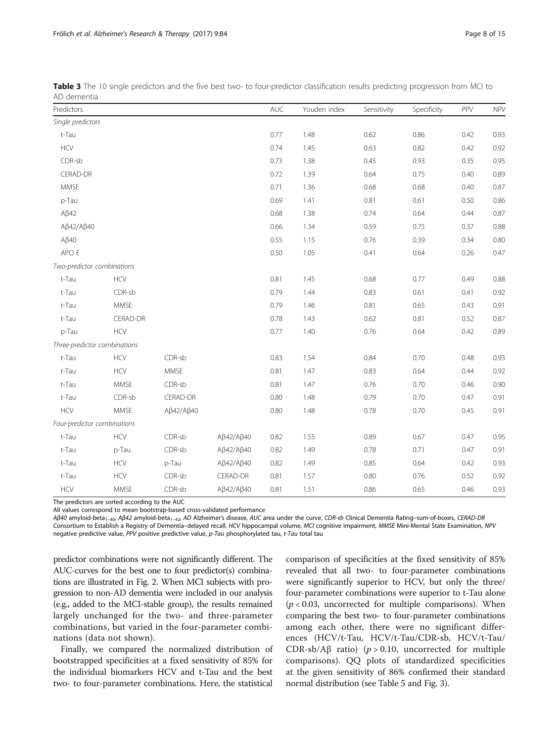| Predictors                   |                             |                     |                     | AUC  | Youden index | Sensitivity | Specificity | PPV  | <b>NPV</b> |
|------------------------------|-----------------------------|---------------------|---------------------|------|--------------|-------------|-------------|------|------------|
| Single predictors            |                             |                     |                     |      |              |             |             |      |            |
| t-Tau                        |                             |                     |                     | 0.77 | 1.48         | 0.62        | 0.86        | 0.42 | 0.93       |
| $\ensuremath{\mathsf{HCV}}$  |                             |                     |                     | 0.74 | 1.45         | 0.63        | 0.82        | 0.42 | 0.92       |
| CDR-sb                       |                             |                     |                     | 0.73 | 1.38         | 0.45        | 0.93        | 0.35 | 0.95       |
| CERAD-DR                     |                             |                     |                     | 0.72 | 1.39         | 0.64        | 0.75        | 0.40 | 0.89       |
| <b>MMSE</b>                  |                             |                     |                     | 0.71 | 1.36         | 0.68        | 0.68        | 0.40 | 0.87       |
| p-Tau                        |                             |                     |                     | 0.69 | 1.41         | 0.81        | 0.61        | 0.50 | 0.86       |
| $A\beta42$                   |                             |                     |                     | 0.68 | 1.38         | 0.74        | 0.64        | 0.44 | 0.87       |
| $A\beta42/A\beta40$          |                             |                     |                     | 0.66 | 1.34         | 0.59        | 0.75        | 0.37 | 0.88       |
| $A\beta40$                   |                             |                     |                     | 0.55 | 1.15         | 0.76        | 0.39        | 0.34 | 0.80       |
| APO E                        |                             |                     |                     | 0.50 | 1.05         | 0.41        | 0.64        | 0.26 | 0.47       |
| Two-predictor combinations   |                             |                     |                     |      |              |             |             |      |            |
| t-Tau                        | HCV                         |                     |                     | 0.81 | 1.45         | 0.68        | 0.77        | 0.49 | 0.88       |
| t-Tau                        | CDR-sb                      |                     |                     | 0.79 | 1.44         | 0.83        | 0.61        | 0.41 | 0.92       |
| t-Tau                        | MMSE                        |                     |                     | 0.79 | 1.46         | 0.81        | 0.65        | 0.43 | 0.91       |
| t-Tau                        | CERAD-DR                    |                     |                     | 0.78 | 1.43         | 0.62        | 0.81        | 0.52 | 0.87       |
| p-Tau                        | HCV                         |                     |                     | 0.77 | 1.40         | 0.76        | 0.64        | 0.42 | 0.89       |
| Three-predictor combinations |                             |                     |                     |      |              |             |             |      |            |
| t-Tau                        | <b>HCV</b>                  | CDR-sb              |                     | 0.83 | 1.54         | 0.84        | 0.70        | 0.48 | 0.93       |
| t-Tau                        | HCV                         | MMSE                |                     | 0.81 | 1.47         | 0.83        | 0.64        | 0.44 | 0.92       |
| t-Tau                        | <b>MMSE</b>                 | CDR-sb              |                     | 0.81 | 1.47         | 0.76        | 0.70        | 0.46 | 0.90       |
| t-Tau                        | CDR-sb                      | CERAD-DR            |                     | 0.80 | 1.48         | 0.79        | 0.70        | 0.47 | 0.91       |
| <b>HCV</b>                   | MMSE                        | $A\beta42/A\beta40$ |                     | 0.80 | 1.48         | 0.78        | 0.70        | 0.45 | 0.91       |
| Four-predictor combinations  |                             |                     |                     |      |              |             |             |      |            |
| t-Tau                        | <b>HCV</b>                  | CDR-sb              | $A\beta42/A\beta40$ | 0.82 | 1.55         | 0.89        | 0.67        | 0.47 | 0.95       |
| t-Tau                        | p-Tau                       | CDR-sb              | $A\beta42/A\beta40$ | 0.82 | 1.49         | 0.78        | 0.71        | 0.47 | 0.91       |
| t-Tau                        | <b>HCV</b>                  | p-Tau               | $A\beta42/A\beta40$ | 0.82 | 1.49         | 0.85        | 0.64        | 0.42 | 0.93       |
| t-Tau                        | $\ensuremath{\mathsf{HCV}}$ | CDR-sb              | CERAD-DR            | 0.81 | 1.57         | 0.80        | 0.76        | 0.52 | 0.92       |
| HCV                          | <b>MMSE</b>                 | CDR-sb              | $A\beta42/A\beta40$ | 0.81 | 1.51         | 0.86        | 0.65        | 0.46 | 0.93       |

<span id="page-7-0"></span>Table 3 The 10 single predictors and the five best two- to four-predictor classification results predicting progression from MCI to AD dementia

The predictors are sorted according to the AUC

All values correspond to mean bootstrap-based cross-validated performance

Aβ40 amyloid-beta<sub>1–40</sub>, Aβ42 amyloid-beta<sub>1–42</sub>, AD Alzheimer's disease, AUC area under the curve, CDR-sb Clinical Dementia Rating–sum-of-boxes, CERAD-DR Consortium to Establish a Registry of Dementia–delayed recall, HCV hippocampal volume, MCI cognitive impairment, MMSE Mini-Mental State Examination, NPV negative predictive value, PPV positive predictive value, p-Tau phosphorylated tau, t-Tau total tau

predictor combinations were not significantly different. The AUC-curves for the best one to four predictor(s) combinations are illustrated in Fig. [2](#page-8-0). When MCI subjects with progression to non-AD dementia were included in our analysis (e.g., added to the MCI-stable group), the results remained largely unchanged for the two- and three-parameter combinations, but varied in the four-parameter combinations (data not shown).

Finally, we compared the normalized distribution of bootstrapped specificities at a fixed sensitivity of 85% for the individual biomarkers HCV and t-Tau and the best two- to four-parameter combinations. Here, the statistical

comparison of specificities at the fixed sensitivity of 85% revealed that all two- to four-parameter combinations were significantly superior to HCV, but only the three/ four-parameter combinations were superior to t-Tau alone  $(p < 0.03$ , uncorrected for multiple comparisons). When comparing the best two- to four-parameter combinations among each other, there were no significant differences (HCV/t-Tau, HCV/t-Tau/CDR-sb, HCV/t-Tau/ CDR-sb/Aβ ratio) ( $p > 0.10$ , uncorrected for multiple comparisons). QQ plots of standardized specificities at the given sensitivity of 86% confirmed their standard normal distribution (see Table [5](#page-8-0) and Fig. [3\)](#page-9-0).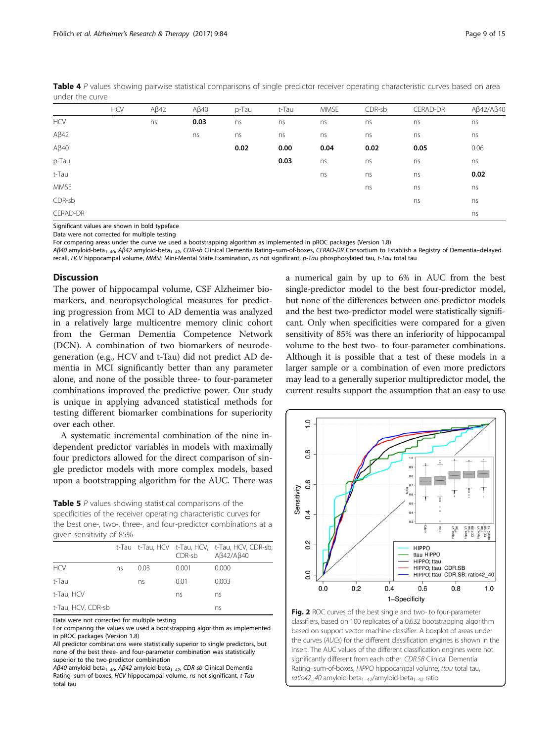<span id="page-8-0"></span>Table 4 P values showing pairwise statistical comparisons of single predictor receiver operating characteristic curves based on area under the curve

|             | <b>HCV</b> | $A\beta42$ | $A\beta40$ | p-Tau | t-Tau | <b>MMSE</b> | CDR-sb | <b>CERAD-DR</b> | $A\beta42/A\beta40$ |
|-------------|------------|------------|------------|-------|-------|-------------|--------|-----------------|---------------------|
| <b>HCV</b>  |            | ns         | 0.03       | ns    | ns    | ns          | ns     | ns              | ns                  |
| $A\beta42$  |            |            | ns         | ns    | ns    | ns          | ns     | ns              | ns                  |
| $A\beta40$  |            |            |            | 0.02  | 0.00  | 0.04        | 0.02   | 0.05            | 0.06                |
| p-Tau       |            |            |            |       | 0.03  | ns          | ns     | ns              | ns                  |
| t-Tau       |            |            |            |       |       | ns          | ns     | ns              | 0.02                |
| <b>MMSE</b> |            |            |            |       |       |             | ns     | ns              | ns                  |
| CDR-sb      |            |            |            |       |       |             |        | ns              | ns                  |
| CERAD-DR    |            |            |            |       |       |             |        |                 | ns                  |
|             |            | .          |            |       |       |             |        |                 |                     |

Significant values are shown in bold typeface

Data were not corrected for multiple testing

For comparing areas under the curve we used a bootstrapping algorithm as implemented in pROC packages (Version 1.8)

 $A\beta$ 40 amyloid-beta<sub>1–40</sub>, A $\beta$ 42 amyloid-beta<sub>1–42</sub>, CDR-sb Clinical Dementia Rating–sum-of-boxes, CERAD-DR Consortium to Establish a Registry of Dementia–delayed recall, HCV hippocampal volume, MMSE Mini-Mental State Examination, ns not significant, p-Tau phosphorylated tau, t-Tau total tau

# **Discussion**

The power of hippocampal volume, CSF Alzheimer biomarkers, and neuropsychological measures for predicting progression from MCI to AD dementia was analyzed in a relatively large multicentre memory clinic cohort from the German Dementia Competence Network (DCN). A combination of two biomarkers of neurodegeneration (e.g., HCV and t-Tau) did not predict AD dementia in MCI significantly better than any parameter alone, and none of the possible three- to four-parameter combinations improved the predictive power. Our study is unique in applying advanced statistical methods for testing different biomarker combinations for superiority over each other.

A systematic incremental combination of the nine independent predictor variables in models with maximally four predictors allowed for the direct comparison of single predictor models with more complex models, based upon a bootstrapping algorithm for the AUC. There was

**Table 5**  $P$  values showing statistical comparisons of the specificities of the receiver operating characteristic curves for the best one-, two-, three-, and four-predictor combinations at a given sensitivity of 85%

|                    |    |      | $CDR-sb$ | t-Tau t-Tau, HCV t-Tau, HCV, t-Tau, HCV, CDR-sb,<br>Aβ42/Aβ40 |
|--------------------|----|------|----------|---------------------------------------------------------------|
| <b>HCV</b>         | ns | 0.03 | 0.001    | 0.000                                                         |
| t-Tau              |    | ns   | 0.01     | 0.003                                                         |
| t-Tau, HCV         |    |      | ns       | ns                                                            |
| t-Tau, HCV, CDR-sb |    |      |          | ns                                                            |

Data were not corrected for multiple testing

For comparing the values we used a bootstrapping algorithm as implemented in pROC packages (Version 1.8)

All predictor combinations were statistically superior to single predictors, but none of the best three- and four-parameter combination was statistically superior to the two-predictor combination

Aβ40 amyloid-beta<sub>1–40</sub>, Aβ42 amyloid-beta<sub>1–42</sub>, CDR-sb Clinical Dementia Rating–sum-of-boxes, HCV hippocampal volume, ns not significant, t-Tau total tau

a numerical gain by up to 6% in AUC from the best single-predictor model to the best four-predictor model, but none of the differences between one-predictor models and the best two-predictor model were statistically significant. Only when specificities were compared for a given sensitivity of 85% was there an inferiority of hippocampal volume to the best two- to four-parameter combinations. Although it is possible that a test of these models in a larger sample or a combination of even more predictors may lead to a generally superior multipredictor model, the current results support the assumption that an easy to use



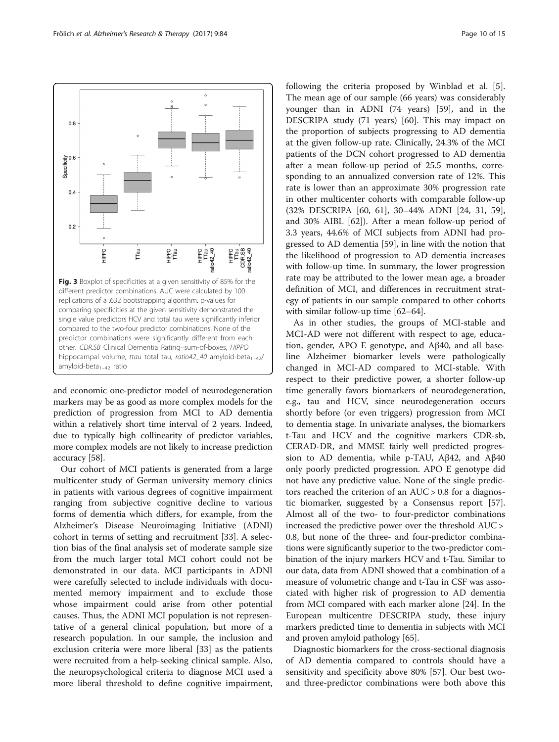<span id="page-9-0"></span>

and economic one-predictor model of neurodegeneration markers may be as good as more complex models for the prediction of progression from MCI to AD dementia within a relatively short time interval of 2 years. Indeed, due to typically high collinearity of predictor variables, more complex models are not likely to increase prediction accuracy [\[58\]](#page-14-0).

Our cohort of MCI patients is generated from a large multicenter study of German university memory clinics in patients with various degrees of cognitive impairment ranging from subjective cognitive decline to various forms of dementia which differs, for example, from the Alzheimer's Disease Neuroimaging Initiative (ADNI) cohort in terms of setting and recruitment [[33\]](#page-13-0). A selection bias of the final analysis set of moderate sample size from the much larger total MCI cohort could not be demonstrated in our data. MCI participants in ADNI were carefully selected to include individuals with documented memory impairment and to exclude those whose impairment could arise from other potential causes. Thus, the ADNI MCI population is not representative of a general clinical population, but more of a research population. In our sample, the inclusion and exclusion criteria were more liberal [\[33](#page-13-0)] as the patients were recruited from a help-seeking clinical sample. Also, the neuropsychological criteria to diagnose MCI used a more liberal threshold to define cognitive impairment, following the criteria proposed by Winblad et al. [\[5](#page-13-0)]. The mean age of our sample (66 years) was considerably younger than in ADNI (74 years) [\[59\]](#page-14-0), and in the DESCRIPA study (71 years) [\[60\]](#page-14-0). This may impact on the proportion of subjects progressing to AD dementia at the given follow-up rate. Clinically, 24.3% of the MCI patients of the DCN cohort progressed to AD dementia after a mean follow-up period of 25.5 months, corresponding to an annualized conversion rate of 12%. This rate is lower than an approximate 30% progression rate in other multicenter cohorts with comparable follow-up (32% DESCRIPA [\[60, 61\]](#page-14-0), 30–44% ADNI [[24, 31](#page-13-0), [59](#page-14-0)], and 30% AIBL [[62\]](#page-14-0)). After a mean follow-up period of 3.3 years, 44.6% of MCI subjects from ADNI had progressed to AD dementia [[59](#page-14-0)], in line with the notion that the likelihood of progression to AD dementia increases with follow-up time. In summary, the lower progression rate may be attributed to the lower mean age, a broader definition of MCI, and differences in recruitment strategy of patients in our sample compared to other cohorts with similar follow-up time [[62](#page-14-0)–[64](#page-14-0)].

As in other studies, the groups of MCI-stable and MCI-AD were not different with respect to age, education, gender, APO E genotype, and Aβ40, and all baseline Alzheimer biomarker levels were pathologically changed in MCI-AD compared to MCI-stable. With respect to their predictive power, a shorter follow-up time generally favors biomarkers of neurodegeneration, e.g., tau and HCV, since neurodegeneration occurs shortly before (or even triggers) progression from MCI to dementia stage. In univariate analyses, the biomarkers t-Tau and HCV and the cognitive markers CDR-sb, CERAD-DR, and MMSE fairly well predicted progression to AD dementia, while p-TAU, Aβ42, and Aβ40 only poorly predicted progression. APO E genotype did not have any predictive value. None of the single predictors reached the criterion of an AUC > 0.8 for a diagnostic biomarker, suggested by a Consensus report [\[57](#page-14-0)]. Almost all of the two- to four-predictor combinations increased the predictive power over the threshold AUC > 0.8, but none of the three- and four-predictor combinations were significantly superior to the two-predictor combination of the injury markers HCV and t-Tau. Similar to our data, data from ADNI showed that a combination of a measure of volumetric change and t-Tau in CSF was associated with higher risk of progression to AD dementia from MCI compared with each marker alone [[24](#page-13-0)]. In the European multicentre DESCRIPA study, these injury markers predicted time to dementia in subjects with MCI and proven amyloid pathology [[65\]](#page-14-0).

Diagnostic biomarkers for the cross-sectional diagnosis of AD dementia compared to controls should have a sensitivity and specificity above 80% [\[57\]](#page-14-0). Our best twoand three-predictor combinations were both above this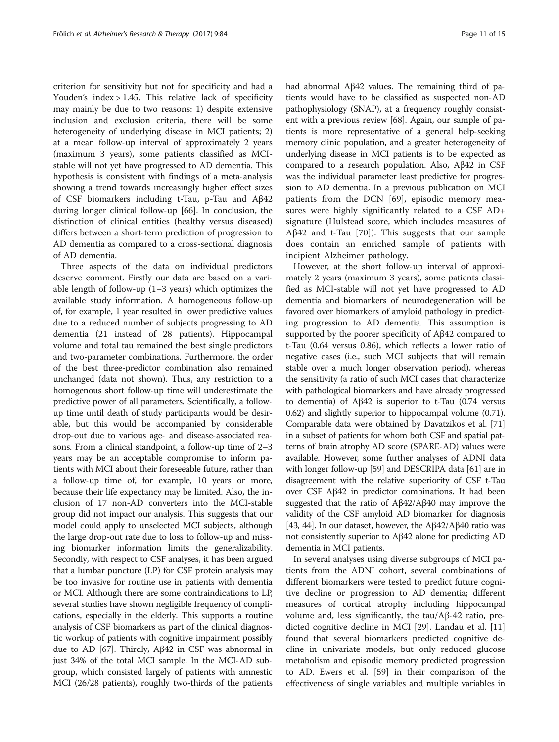criterion for sensitivity but not for specificity and had a Youden's index > 1.45. This relative lack of specificity may mainly be due to two reasons: 1) despite extensive inclusion and exclusion criteria, there will be some heterogeneity of underlying disease in MCI patients; 2) at a mean follow-up interval of approximately 2 years (maximum 3 years), some patients classified as MCIstable will not yet have progressed to AD dementia. This hypothesis is consistent with findings of a meta-analysis showing a trend towards increasingly higher effect sizes of CSF biomarkers including t-Tau, p-Tau and Aβ42 during longer clinical follow-up [\[66\]](#page-14-0). In conclusion, the distinction of clinical entities (healthy versus diseased) differs between a short-term prediction of progression to AD dementia as compared to a cross-sectional diagnosis of AD dementia.

Three aspects of the data on individual predictors deserve comment. Firstly our data are based on a variable length of follow-up  $(1-3 \text{ years})$  which optimizes the available study information. A homogeneous follow-up of, for example, 1 year resulted in lower predictive values due to a reduced number of subjects progressing to AD dementia (21 instead of 28 patients). Hippocampal volume and total tau remained the best single predictors and two-parameter combinations. Furthermore, the order of the best three-predictor combination also remained unchanged (data not shown). Thus, any restriction to a homogenous short follow-up time will underestimate the predictive power of all parameters. Scientifically, a followup time until death of study participants would be desirable, but this would be accompanied by considerable drop-out due to various age- and disease-associated reasons. From a clinical standpoint, a follow-up time of 2–3 years may be an acceptable compromise to inform patients with MCI about their foreseeable future, rather than a follow-up time of, for example, 10 years or more, because their life expectancy may be limited. Also, the inclusion of 17 non-AD converters into the MCI-stable group did not impact our analysis. This suggests that our model could apply to unselected MCI subjects, although the large drop-out rate due to loss to follow-up and missing biomarker information limits the generalizability. Secondly, with respect to CSF analyses, it has been argued that a lumbar puncture (LP) for CSF protein analysis may be too invasive for routine use in patients with dementia or MCI. Although there are some contraindications to LP, several studies have shown negligible frequency of complications, especially in the elderly. This supports a routine analysis of CSF biomarkers as part of the clinical diagnostic workup of patients with cognitive impairment possibly due to AD [[67](#page-14-0)]. Thirdly, Aβ42 in CSF was abnormal in just 34% of the total MCI sample. In the MCI-AD subgroup, which consisted largely of patients with amnestic MCI (26/28 patients), roughly two-thirds of the patients had abnormal Aβ42 values. The remaining third of patients would have to be classified as suspected non-AD pathophysiology (SNAP), at a frequency roughly consistent with a previous review [[68\]](#page-14-0). Again, our sample of patients is more representative of a general help-seeking memory clinic population, and a greater heterogeneity of underlying disease in MCI patients is to be expected as compared to a research population. Also, Aβ42 in CSF was the individual parameter least predictive for progression to AD dementia. In a previous publication on MCI patients from the DCN [[69\]](#page-14-0), episodic memory measures were highly significantly related to a CSF AD+ signature (Hulstead score, which includes measures of Aβ42 and t-Tau [\[70](#page-14-0)]). This suggests that our sample does contain an enriched sample of patients with incipient Alzheimer pathology.

However, at the short follow-up interval of approximately 2 years (maximum 3 years), some patients classified as MCI-stable will not yet have progressed to AD dementia and biomarkers of neurodegeneration will be favored over biomarkers of amyloid pathology in predicting progression to AD dementia. This assumption is supported by the poorer specificity of Aβ42 compared to t-Tau (0.64 versus 0.86), which reflects a lower ratio of negative cases (i.e., such MCI subjects that will remain stable over a much longer observation period), whereas the sensitivity (a ratio of such MCI cases that characterize with pathological biomarkers and have already progressed to dementia) of Aβ42 is superior to t-Tau (0.74 versus 0.62) and slightly superior to hippocampal volume (0.71). Comparable data were obtained by Davatzikos et al. [[71](#page-14-0)] in a subset of patients for whom both CSF and spatial patterns of brain atrophy AD score (SPARE-AD) values were available. However, some further analyses of ADNI data with longer follow-up [\[59\]](#page-14-0) and DESCRIPA data [\[61\]](#page-14-0) are in disagreement with the relative superiority of CSF t-Tau over CSF Aβ42 in predictor combinations. It had been suggested that the ratio of Aβ42/Aβ40 may improve the validity of the CSF amyloid AD biomarker for diagnosis [[43](#page-13-0), [44\]](#page-14-0). In our dataset, however, the  $A\beta42/A\beta40$  ratio was not consistently superior to Aβ42 alone for predicting AD dementia in MCI patients.

In several analyses using diverse subgroups of MCI patients from the ADNI cohort, several combinations of different biomarkers were tested to predict future cognitive decline or progression to AD dementia; different measures of cortical atrophy including hippocampal volume and, less significantly, the  $tau/β-42$  ratio, predicted cognitive decline in MCI [[29\]](#page-13-0). Landau et al. [[11](#page-13-0)] found that several biomarkers predicted cognitive decline in univariate models, but only reduced glucose metabolism and episodic memory predicted progression to AD. Ewers et al. [[59](#page-14-0)] in their comparison of the effectiveness of single variables and multiple variables in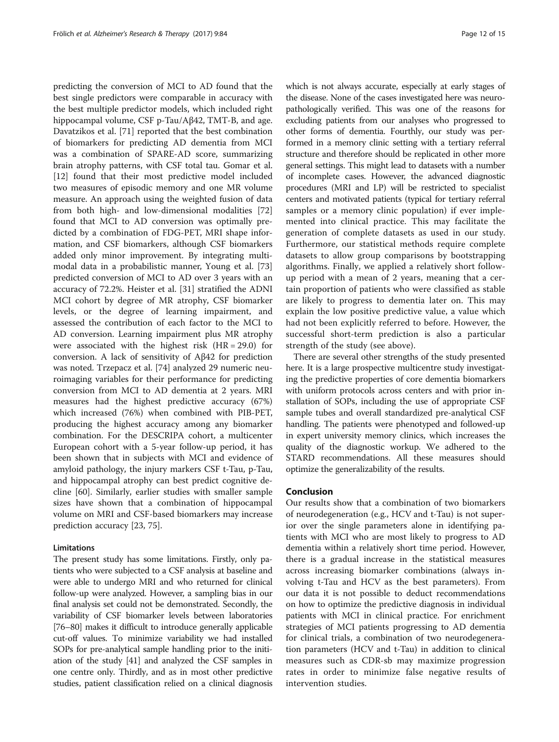predicting the conversion of MCI to AD found that the best single predictors were comparable in accuracy with the best multiple predictor models, which included right hippocampal volume, CSF p-Tau/Aβ42, TMT-B, and age. Davatzikos et al. [\[71](#page-14-0)] reported that the best combination of biomarkers for predicting AD dementia from MCI was a combination of SPARE-AD score, summarizing brain atrophy patterns, with CSF total tau. Gomar et al. [[12\]](#page-13-0) found that their most predictive model included two measures of episodic memory and one MR volume measure. An approach using the weighted fusion of data from both high- and low-dimensional modalities [[72](#page-14-0)] found that MCI to AD conversion was optimally predicted by a combination of FDG-PET, MRI shape information, and CSF biomarkers, although CSF biomarkers added only minor improvement. By integrating multimodal data in a probabilistic manner, Young et al. [[73](#page-14-0)] predicted conversion of MCI to AD over 3 years with an accuracy of 72.2%. Heister et al. [\[31](#page-13-0)] stratified the ADNI MCI cohort by degree of MR atrophy, CSF biomarker levels, or the degree of learning impairment, and assessed the contribution of each factor to the MCI to AD conversion. Learning impairment plus MR atrophy were associated with the highest risk  $(HR = 29.0)$  for conversion. A lack of sensitivity of Aβ42 for prediction was noted. Trzepacz et al. [[74](#page-14-0)] analyzed 29 numeric neuroimaging variables for their performance for predicting conversion from MCI to AD dementia at 2 years. MRI measures had the highest predictive accuracy (67%) which increased (76%) when combined with PIB-PET, producing the highest accuracy among any biomarker combination. For the DESCRIPA cohort, a multicenter European cohort with a 5-year follow-up period, it has been shown that in subjects with MCI and evidence of amyloid pathology, the injury markers CSF t-Tau, p-Tau, and hippocampal atrophy can best predict cognitive decline [\[60](#page-14-0)]. Similarly, earlier studies with smaller sample sizes have shown that a combination of hippocampal volume on MRI and CSF-based biomarkers may increase prediction accuracy [[23,](#page-13-0) [75\]](#page-14-0).

#### Limitations

The present study has some limitations. Firstly, only patients who were subjected to a CSF analysis at baseline and were able to undergo MRI and who returned for clinical follow-up were analyzed. However, a sampling bias in our final analysis set could not be demonstrated. Secondly, the variability of CSF biomarker levels between laboratories [[76](#page-14-0)–[80\]](#page-14-0) makes it difficult to introduce generally applicable cut-off values. To minimize variability we had installed SOPs for pre-analytical sample handling prior to the initiation of the study [\[41\]](#page-13-0) and analyzed the CSF samples in one centre only. Thirdly, and as in most other predictive studies, patient classification relied on a clinical diagnosis which is not always accurate, especially at early stages of the disease. None of the cases investigated here was neuropathologically verified. This was one of the reasons for excluding patients from our analyses who progressed to other forms of dementia. Fourthly, our study was performed in a memory clinic setting with a tertiary referral structure and therefore should be replicated in other more general settings. This might lead to datasets with a number of incomplete cases. However, the advanced diagnostic procedures (MRI and LP) will be restricted to specialist centers and motivated patients (typical for tertiary referral samples or a memory clinic population) if ever implemented into clinical practice. This may facilitate the generation of complete datasets as used in our study. Furthermore, our statistical methods require complete datasets to allow group comparisons by bootstrapping algorithms. Finally, we applied a relatively short followup period with a mean of 2 years, meaning that a certain proportion of patients who were classified as stable are likely to progress to dementia later on. This may explain the low positive predictive value, a value which had not been explicitly referred to before. However, the successful short-term prediction is also a particular strength of the study (see above).

There are several other strengths of the study presented here. It is a large prospective multicentre study investigating the predictive properties of core dementia biomarkers with uniform protocols across centers and with prior installation of SOPs, including the use of appropriate CSF sample tubes and overall standardized pre-analytical CSF handling. The patients were phenotyped and followed-up in expert university memory clinics, which increases the quality of the diagnostic workup. We adhered to the STARD recommendations. All these measures should optimize the generalizability of the results.

#### Conclusion

Our results show that a combination of two biomarkers of neurodegeneration (e.g., HCV and t-Tau) is not superior over the single parameters alone in identifying patients with MCI who are most likely to progress to AD dementia within a relatively short time period. However, there is a gradual increase in the statistical measures across increasing biomarker combinations (always involving t-Tau and HCV as the best parameters). From our data it is not possible to deduct recommendations on how to optimize the predictive diagnosis in individual patients with MCI in clinical practice. For enrichment strategies of MCI patients progressing to AD dementia for clinical trials, a combination of two neurodegeneration parameters (HCV and t-Tau) in addition to clinical measures such as CDR-sb may maximize progression rates in order to minimize false negative results of intervention studies.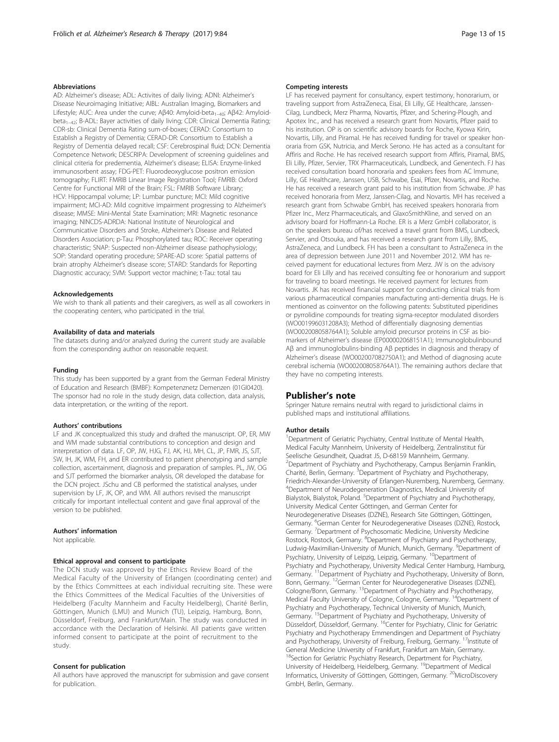#### Abbreviations

AD: Alzheimer's disease; ADL: Activites of daily living; ADNI: Alzheimer's Disease Neuroimaging Initiative; AIBL: Australian Imaging, Biomarkers and Lifestyle; AUC: Area under the curve; Aβ40: Amyloid-beta<sub>1–40</sub>; Aβ42: Amyloidbeta<sub>1–42</sub>; B-ADL: Bayer activities of daily living; CDR: Clinical Dementia Rating; CDR-sb: Clinical Dementia Rating sum-of-boxes; CERAD: Consortium to Establish a Registry of Dementia; CERAD-DR: Consortium to Establish a Registry of Dementia delayed recall; CSF: Cerebrospinal fluid; DCN: Dementia Competence Network; DESCRIPA: Development of screening guidelines and clinical criteria for predementia, Alzheimer's disease; ELISA: Enzyme-linked immunosorbent assay; FDG-PET: Fluorodeoxyglucose positron emission tomography; FLIRT: FMRIB Linear Image Registration Tool; FMRIB: Oxford Centre for Functional MRI of the Brain; FSL: FMRIB Software Library; HCV: Hippocampal volume; LP: Lumbar puncture; MCI: Mild cognitive impairment; MCI-AD: Mild cognitive impairment progressing to Alzheimer's disease; MMSE: Mini-Mental State Examination; MRI: Magnetic resonance imaging; NINCDS-ADRDA: National Institute of Neurological and Communicative Disorders and Stroke, Alzheimer's Disease and Related Disorders Association; p-Tau: Phosphorylated tau; ROC: Receiver operating characteristic; SNAP: Suspected non-Alzheimer disease pathophysiology; SOP: Standard operating procedure; SPARE-AD score: Spatial patterns of brain atrophy Alzheimer's disease score; STARD: Standards for Reporting Diagnostic accuracy; SVM: Support vector machine; t-Tau: total tau

#### Acknowledgements

We wish to thank all patients and their caregivers, as well as all coworkers in the cooperating centers, who participated in the trial.

#### Availability of data and materials

The datasets during and/or analyzed during the current study are available from the corresponding author on reasonable request.

#### Funding

This study has been supported by a grant from the German Federal Ministry of Education and Research (BMBF): Kompetenznetz Demenzen (01GI0420). The sponsor had no role in the study design, data collection, data analysis, data interpretation, or the writing of the report.

#### Authors' contributions

LF and JK conceptualized this study and drafted the manuscript. OP, ER, MW and WM made substantial contributions to conception and design and interpretation of data. LF, OP, JW, HJG, FJ, AK, HJ, MH, CL, JP, FMR, JS, SJT, SW, IH, JK, WM, FH, and ER contributed to patient phenotyping and sample collection, ascertainment, diagnosis and preparation of samples. PL, JW, OG and SJT performed the biomarker analysis, OR developed the database for the DCN project. JSchu and CB performed the statistical analyses, under supervision by LF, JK, OP, and WM. All authors revised the manuscript critically for important intellectual content and gave final approval of the version to be published.

#### Authors' information

Not applicable.

#### Ethical approval and consent to participate

The DCN study was approved by the Ethics Review Board of the Medical Faculty of the University of Erlangen (coordinating center) and by the Ethics Committees at each individual recruiting site. These were the Ethics Committees of the Medical Faculties of the Universities of Heidelberg (Faculty Mannheim and Faculty Heidelberg), Charité Berlin, Göttingen, Munich (LMU) and Munich (TU), Leipzig, Hamburg, Bonn, Düsseldorf, Freiburg, and Frankfurt/Main. The study was conducted in accordance with the Declaration of Helsinki. All patients gave written informed consent to participate at the point of recruitment to the study.

#### Consent for publication

All authors have approved the manuscript for submission and gave consent for publication.

#### Competing interests

LF has received payment for consultancy, expert testimony, honorarium, or traveling support from AstraZeneca, Eisai, Eli Lilly, GE Healthcare, Janssen-Cilag, Lundbeck, Merz Pharma, Novartis, Pfizer, and Schering-Plough, and Apotex Inc., and has received a research grant from Novartis, Pfizer paid to his institution. OP is on scientific advisory boards for Roche, Kyowa Kirin, Novartis, Lilly, and Piramal. He has received funding for travel or speaker honoraria from GSK, Nutricia, and Merck Serono. He has acted as a consultant for Affiris and Roche. He has received research support from Affiris, Piramal, BMS, Eli Lilly, Pfizer, Servier, TRX Pharmaceuticals, Lundbeck, and Genentech. FJ has received consultation board honoraria and speakers fees from AC Immune, Lilly, GE Healthcare, Janssen, USB, Schwabe, Esai, Pfizer, Novartis, and Roche. He has received a research grant paid to his institution from Schwabe. JP has received honoraria from Merz, Janssen-Cilag, and Novartis. MH has received a research grant from Schwabe GmbH, has received speakers honoraria from Pfizer Inc., Merz Pharmaceuticals, and GlaxoSmithKline, and served on an advisory board for Hoffmann-La Roche. ER is a Merz GmbH collaborator, is on the speakers bureau of/has received a travel grant from BMS, Lundbeck, Servier, and Otsouka, and has received a research grant from Lilly, BMS, AstraZeneca, and Lundbeck. FH has been a consultant to AstraZeneca in the area of depression between June 2011 and November 2012. WM has received payment for educational lectures from Merz. JW is on the advisory board for Eli Lilly and has received consulting fee or honorarium and support for traveling to board meetings. He received payment for lectures from Novartis. JK has received financial support for conducting clinical trials from various pharmaceutical companies manufacturing anti-dementia drugs. He is mentioned as coinventor on the following patents: Substituted piperidines or pyrrolidine compounds for treating sigma-receptor modulated disorders (WO001996031208A3); Method of differentially diagnosing dementias (WO002008058764A1); Soluble amyloid precursor proteins in CSF as biomarkers of Alzheimer's disease (EP000002068151A1); Immunoglobulinbound Aβ and immunoglobulins-binding Aβ peptides in diagnosis and therapy of Alzheimer's disease (WO002007082750A1); and Method of diagnosing acute cerebral ischemia (WO002008058764A1). The remaining authors declare that they have no competing interests.

#### Publisher's note

Springer Nature remains neutral with regard to jurisdictional claims in published maps and institutional affiliations.

#### Author details

<sup>1</sup>Department of Geriatric Psychiatry, Central Institute of Mental Health, Medical Faculty Mannheim, University of Heidelberg, Zentralinstitut für Seelische Gesundheit, Quadrat J5, D-68159 Mannheim, Germany. 2 Department of Psychiatry and Psychotherapy, Campus Benjamin Franklin, Charité, Berlin, Germany. <sup>3</sup>Department of Psychiatry and Psychotherapy, Friedrich-Alexander-University of Erlangen-Nuremberg, Nuremberg, Germany. 4 Department of Neurodegeneration Diagnostics, Medical University of Bialystok, Bialystok, Poland. <sup>5</sup>Department of Psychiatry and Psychotherapy University Medical Center Göttingen, and German Center for Neurodegenerative Diseases (DZNE), Research Site Göttingen, Göttingen, Germany. <sup>6</sup>German Center for Neurodegenerative Diseases (DZNE), Rostock Germany. <sup>7</sup>Department of Psychosomatic Medicine, University Medicine Rostock, Rostock, Germany. <sup>8</sup>Department of Psychiatry and Psychotherapy, Ludwig-Maximilian-University of Munich, Munich, Germany. <sup>9</sup>Department of Psychiatry, University of Leipzig, Leipzig, Germany. <sup>10</sup>Department of Psychiatry and Psychotherapy, University Medical Center Hamburg, Hamburg, Germany. <sup>11</sup>Department of Psychiatry and Psychotherapy, University of Bonn, Bonn, Germany. 12German Center for Neurodegenerative Diseases (DZNE), Cologne/Bonn, Germany. 13Department of Psychiatry and Psychotherapy, Medical Faculty University of Cologne, Cologne, Germany. 14Department of Psychiatry and Psychotherapy, Technical University of Munich, Munich, Germany. 15Department of Psychiatry and Psychotherapy, University of Düsseldorf, Düsseldorf, Germany. <sup>16</sup>Center for Psychiatry, Clinic for Geriatric Psychiatry and Psychotherapy Emmendingen and Department of Psychiatry and Psychotherapy, University of Freiburg, Freiburg, Germany. <sup>17</sup>Institute of General Medicine University of Frankfurt, Frankfurt am Main, Germany. <sup>18</sup>Section for Geriatric Psychiatry Research, Department for Psychiatry, University of Heidelberg, Heidelberg, Germany. <sup>19</sup>Department of Medical Informatics, University of Göttingen, Göttingen, Germany. 20MicroDiscovery GmbH, Berlin, Germany.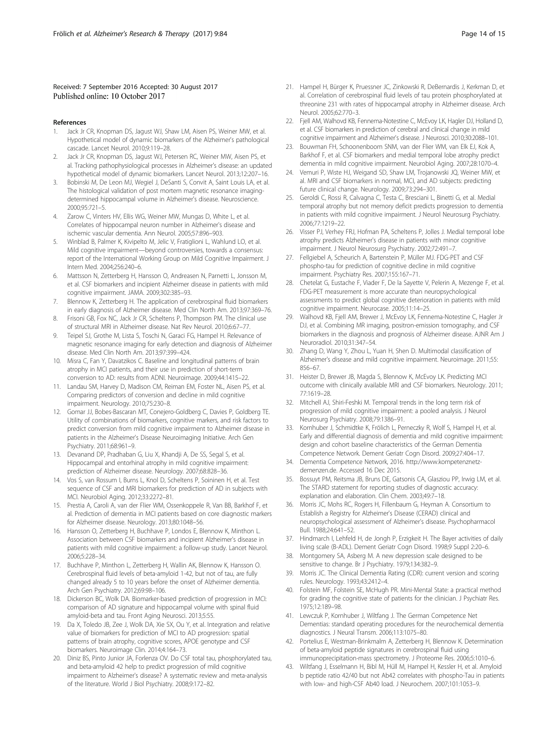#### <span id="page-13-0"></span>Received: 7 September 2016 Accepted: 30 August 2017 Published online: 10 October 2017

#### References

- 1. Jack Jr CR, Knopman DS, Jagust WJ, Shaw LM, Aisen PS, Weiner MW, et al. Hypothetical model of dynamic biomarkers of the Alzheimer's pathological cascade. Lancet Neurol. 2010;9:119–28.
- Jack Jr CR, Knopman DS, Jagust WJ, Petersen RC, Weiner MW. Aisen PS. et al. Tracking pathophysiological processes in Alzheimer's disease: an updated hypothetical model of dynamic biomarkers. Lancet Neurol. 2013;12:207–16.
- Bobinski M, De Leon MJ, Wegiel J, DeSanti S, Convit A, Saint Louis LA, et al. The histological validation of post mortem magnetic resonance imagingdetermined hippocampal volume in Alzheimer's disease. Neuroscience. 2000;95:721–5.
- 4. Zarow C, Vinters HV, Ellis WG, Weiner MW, Mungas D, White L, et al. Correlates of hippocampal neuron number in Alzheimer's disease and ischemic vascular dementia. Ann Neurol. 2005;57:896–903.
- 5. Winblad B, Palmer K, Kivipelto M, Jelic V, Fratiglioni L, Wahlund LO, et al. Mild cognitive impairment—beyond controversies, towards a consensus: report of the International Working Group on Mild Cognitive Impairment. J Intern Med. 2004;256:240–6.
- Mattsson N, Zetterberg H, Hansson O, Andreasen N, Parnetti L, Jonsson M, et al. CSF biomarkers and incipient Alzheimer disease in patients with mild cognitive impairment. JAMA. 2009;302:385–93.
- Blennow K, Zetterberg H. The application of cerebrospinal fluid biomarkers in early diagnosis of Alzheimer disease. Med Clin North Am. 2013;97:369–76.
- 8. Frisoni GB, Fox NC, Jack Jr CR, Scheltens P, Thompson PM. The clinical use of structural MRI in Alzheimer disease. Nat Rev Neurol. 2010;6:67–77.
- 9. Teipel SJ, Grothe M, Lista S, Toschi N, Garaci FG, Hampel H. Relevance of magnetic resonance imaging for early detection and diagnosis of Alzheimer disease. Med Clin North Am. 2013;97:399–424.
- 10. Misra C, Fan Y, Davatzikos C. Baseline and longitudinal patterns of brain atrophy in MCI patients, and their use in prediction of short-term conversion to AD: results from ADNI. Neuroimage. 2009;44:1415–22.
- 11. Landau SM, Harvey D, Madison CM, Reiman EM, Foster NL, Aisen PS, et al. Comparing predictors of conversion and decline in mild cognitive impairment. Neurology. 2010;75:230–8.
- 12. Gomar JJ, Bobes-Bascaran MT, Conejero-Goldberg C, Davies P, Goldberg TE. Utility of combinations of biomarkers, cognitive markers, and risk factors to predict conversion from mild cognitive impairment to Alzheimer disease in patients in the Alzheimer's Disease Neuroimaging Initiative. Arch Gen Psychiatry. 2011;68:961–9.
- 13. Devanand DP, Pradhaban G, Liu X, Khandji A, De SS, Segal S, et al. Hippocampal and entorhinal atrophy in mild cognitive impairment: prediction of Alzheimer disease. Neurology. 2007;68:828–36.
- 14. Vos S, van Rossum I, Burns L, Knol D, Scheltens P, Soininen H, et al. Test sequence of CSF and MRI biomarkers for prediction of AD in subjects with MCI. Neurobiol Aging. 2012;33:2272–81.
- 15. Prestia A, Caroli A, van der Flier WM, Ossenkoppele R, Van BB, Barkhof F, et al. Prediction of dementia in MCI patients based on core diagnostic markers for Alzheimer disease. Neurology. 2013;80:1048–56.
- 16. Hansson O, Zetterberg H, Buchhave P, Londos E, Blennow K, Minthon L. Association between CSF biomarkers and incipient Alzheimer's disease in patients with mild cognitive impairment: a follow-up study. Lancet Neurol. 2006;5:228–34.
- 17. Buchhave P, Minthon L, Zetterberg H, Wallin AK, Blennow K, Hansson O. Cerebrospinal fluid levels of beta-amyloid 1-42, but not of tau, are fully changed already 5 to 10 years before the onset of Alzheimer dementia. Arch Gen Psychiatry. 2012;69:98–106.
- 18. Dickerson BC, Wolk DA. Biomarker-based prediction of progression in MCI: comparison of AD signature and hippocampal volume with spinal fluid amyloid-beta and tau. Front Aging Neurosci. 2013;5:55.
- 19. Da X, Toledo JB, Zee J, Wolk DA, Xie SX, Ou Y, et al. Integration and relative value of biomarkers for prediction of MCI to AD progression: spatial patterns of brain atrophy, cognitive scores, APOE genotype and CSF biomarkers. Neuroimage Clin. 2014;4:164–73.
- 20. Diniz BS, Pinto Junior JA, Forlenza OV. Do CSF total tau, phosphorylated tau, and beta-amyloid 42 help to predict progression of mild cognitive impairment to Alzheimer's disease? A systematic review and meta-analysis of the literature. World J Biol Psychiatry. 2008;9:172–82.
- 21. Hampel H, Bürger K, Pruessner JC, Zinkowski R, DeBernardis J, Kerkman D, et al. Correlation of cerebrospinal fluid levels of tau protein phosphorylated at threonine 231 with rates of hippocampal atrophy in Alzheimer disease. Arch Neurol. 2005;62:770–3.
- 22. Fjell AM, Walhovd KB, Fennema-Notestine C, McEvoy LK, Hagler DJ, Holland D, et al. CSF biomarkers in prediction of cerebral and clinical change in mild cognitive impairment and Alzheimer's disease. J Neurosci. 2010;30:2088–101.
- 23. Bouwman FH, Schoonenboom SNM, van der Flier WM, van Elk EJ, Kok A, Barkhof F, et al. CSF biomarkers and medial temporal lobe atrophy predict dementia in mild cognitive impairment. Neurobiol Aging. 2007;28:1070–4.
- 24. Vemuri P, Wiste HJ, Weigand SD, Shaw LM, Trojanowski JQ, Weiner MW, et al. MRI and CSF biomarkers in normal, MCI, and AD subjects: predicting future clinical change. Neurology. 2009;73:294–301.
- 25. Geroldi C, Rossi R, Calvagna C, Testa C, Bresciani L, Binetti G, et al. Medial temporal atrophy but not memory deficit predicts progression to dementia in patients with mild cognitive impairment. J Neurol Neurosurg Psychiatry. 2006;77:1219–22.
- 26. Visser PJ, Verhey FRJ, Hofman PA, Scheltens P, Jolles J. Medial temporal lobe atrophy predicts Alzheimer's disease in patients with minor cognitive impairment. J Neurol Neurosurg Psychiatry. 2002;72:491–7.
- 27. Fellgiebel A, Scheurich A, Bartenstein P, Müller MJ. FDG-PET and CSF phospho-tau for prediction of cognitive decline in mild cognitive impairment. Psychiatry Res. 2007;155:167–71.
- 28. Chetelat G, Eustache F, Viader F, De la Sayette V, Pelerin A, Mezenge F, et al. FDG-PET measurement is more accurate than neuropsychological assessments to predict global cognitive deterioration in patients with mild cognitive impairment. Neurocase. 2005;11:14–25.
- 29. Walhovd KB, Fjell AM, Brewer J, McEvoy LK, Fennema-Notestine C, Hagler Jr DJ, et al. Combining MR imaging, positron-emission tomography, and CSF biomarkers in the diagnosis and prognosis of Alzheimer disease. AJNR Am J Neuroradiol. 2010;31:347–54.
- 30. Zhang D, Wang Y, Zhou L, Yuan H, Shen D. Multimodal classification of Alzheimer's disease and mild cognitive impairment. Neuroimage. 2011;55: 856–67.
- 31. Heister D, Brewer JB, Magda S, Blennow K, McEvoy LK. Predicting MCI outcome with clinically available MRI and CSF biomarkers. Neurology. 2011; 77:1619–28.
- 32. Mitchell AJ, Shiri-Feshki M. Temporal trends in the long term risk of progression of mild cognitive impairment: a pooled analysis. J Neurol Neurosurg Psychiatry. 2008;79:1386–91.
- 33. Kornhuber J, Schmidtke K, Frölich L, Perneczky R, Wolf S, Hampel H, et al. Early and differential diagnosis of dementia and mild cognitive impairment: design and cohort baseline characteristics of the German Dementia Competence Network. Dement Geriatr Cogn Disord. 2009;27:404–17.
- 34. Dementia Competence Network, 2016. [http://www.kompetenznetz](http://www.kompetenznetz-demenzen.de/)[demenzen.de](http://www.kompetenznetz-demenzen.de/). Accessed 16 Dec 2015.
- 35. Bossuyt PM, Reitsma JB, Bruns DE, Gatsonis CA, Glasziou PP, Irwig LM, et al. The STARD statement for reporting studies of diagnostic accuracy: explanation and elaboration. Clin Chem. 2003;49:7–18.
- 36. Morris JC, Mohs RC, Rogers H, Fillenbaum G, Heyman A. Consortium to Establish a Registry for Alzheimer's Disease (CERAD) clinical and neuropsychological assessment of Alzheimer's disease. Psychopharmacol Bull. 1988;24:641–52.
- 37. Hindmarch I, Lehfeld H, de Jongh P, Erzigkeit H. The Bayer activities of daily living scale (B-ADL). Dement Geriatr Cogn Disord. 1998;9 Suppl 2:20–6.
- 38. Montgomery SA, Asberg M. A new depression scale designed to be sensitive to change. Br J Psychiatry. 1979;134:382–9.
- 39. Morris JC. The Clinical Dementia Rating (CDR): current version and scoring rules. Neurology. 1993;43:2412–4.
- 40. Folstein MF, Folstein SE, McHugh PR. Mini-Mental State: a practical method for grading the cognitive state of patients for the clinician. J Psychiatr Res. 1975;12:189–98.
- 41. Lewczuk P, Kornhuber J, Wiltfang J. The German Competence Net Dementias: standard operating procedures for the neurochemical dementia diagnostics. J Neural Transm. 2006;113:1075–80.
- 42. Portelius E, Westman-Brinkmalm A, Zetterberg H, Blennow K. Determination of beta-amyloid peptide signatures in cerebrospinal fluid using immunoprecipitation-mass spectrometry. J Proteome Res. 2006;5:1010–6.
- 43. Wiltfang J, Esselmann H, Bibl M, Hüll M, Hampel H, Kessler H, et al. Amyloid b peptide ratio 42/40 but not Ab42 correlates with phospho-Tau in patients with low- and high-CSF Ab40 load. J Neurochem. 2007;101:1053–9.